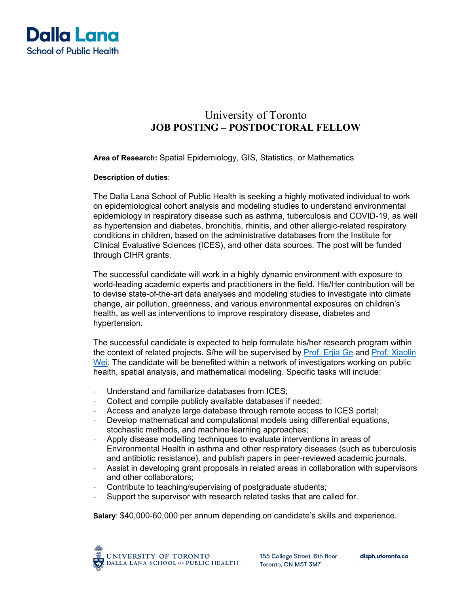

# University of Toronto **JOB POSTING – POSTDOCTORAL FELLOW**

**Area of Research:** Spatial Epidemiology, GIS, Statistics, or Mathematics

#### **Description of duties**:

The Dalla Lana School of Public Health is seeking a highly motivated individual to work on epidemiological cohort analysis and modeling studies to understand environmental epidemiology in respiratory disease such as asthma, tuberculosis and COVID-19, as well as hypertension and diabetes, bronchitis, rhinitis, and other allergic-related respiratory conditions in children, based on the administrative databases from the Institute for Clinical Evaluative Sciences (ICES), and other data sources. The post will be funded through CIHR grants.

The successful candidate will work in a highly dynamic environment with exposure to world-leading academic experts and practitioners in the field. His/Her contribution will be to devise state-of-the-art data analyses and modeling studies to investigate into climate change, air pollution, greenness, and various environmental exposures on children's health, as well as interventions to improve respiratory disease, diabetes and hypertension.

The successful candidate is expected to help formulate his/her research program within the context of related projects. S/he will be supervised by [Prof. Erjia Ge](https://www.dlsph.utoronto.ca/faculty-profile/erjia-erjia/) and [Prof. Xiaolin](https://www.dlsph.utoronto.ca/faculty-profile/wei-xiaolin/)  [Wei.](https://www.dlsph.utoronto.ca/faculty-profile/wei-xiaolin/) The candidate will be benefited within a network of investigators working on public health, spatial analysis, and mathematical modeling. Specific tasks will include:

- Understand and familiarize databases from ICES;
- Collect and compile publicly available databases if needed;
- Access and analyze large database through remote access to ICES portal;
- Develop mathematical and computational models using differential equations, stochastic methods, and machine learning approaches;
- Apply disease modelling techniques to evaluate interventions in areas of Environmental Health in asthma and other respiratory diseases (such as tuberculosis and antibiotic resistance), and publish papers in peer-reviewed academic journals.
- Assist in developing grant proposals in related areas in collaboration with supervisors and other collaborators;
- Contribute to teaching/supervising of postgraduate students;
- Support the supervisor with research related tasks that are called for.

**Salary**: \$40,000-60,000 per annum depending on candidate's skills and experience.